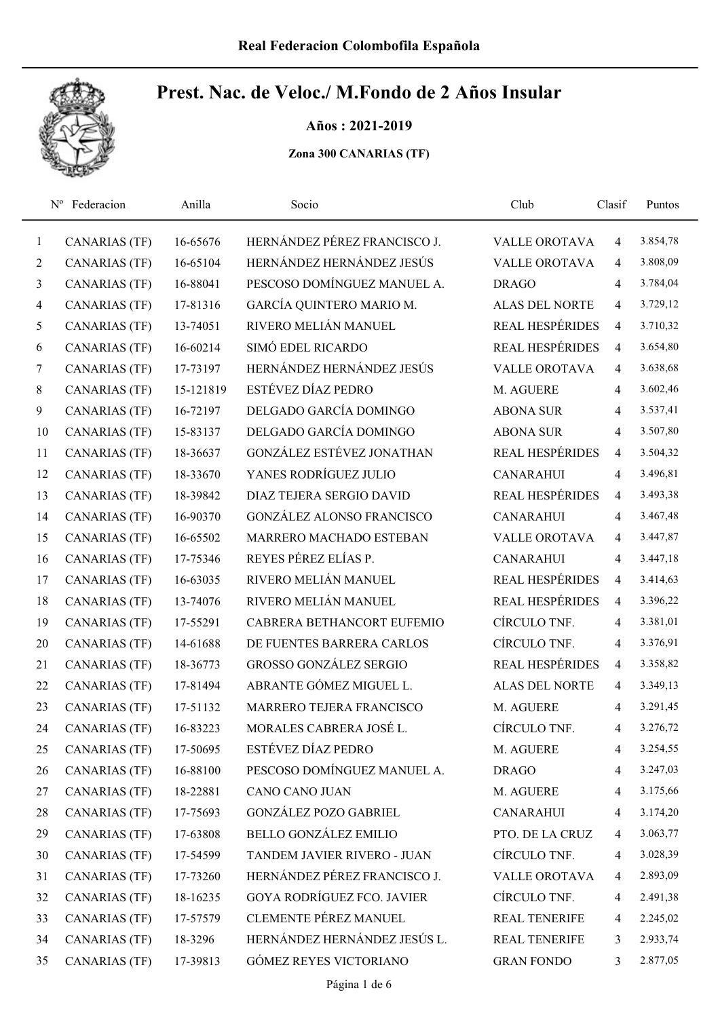Años : 2021-2019

|              | Nº Federacion        | Anilla    | Socio                             | Club                   | Clasif         | Puntos   |  |
|--------------|----------------------|-----------|-----------------------------------|------------------------|----------------|----------|--|
| $\mathbf{1}$ | <b>CANARIAS (TF)</b> | 16-65676  | HERNÁNDEZ PÉREZ FRANCISCO J.      | <b>VALLE OROTAVA</b>   | $\overline{4}$ | 3.854,78 |  |
| 2            | <b>CANARIAS (TF)</b> | 16-65104  | HERNÁNDEZ HERNÁNDEZ JESÚS         | <b>VALLE OROTAVA</b>   | $\overline{4}$ | 3.808,09 |  |
| 3            | <b>CANARIAS (TF)</b> | 16-88041  | PESCOSO DOMÍNGUEZ MANUEL A.       | <b>DRAGO</b>           | $\overline{4}$ | 3.784,04 |  |
| 4            | <b>CANARIAS (TF)</b> | 17-81316  | GARCÍA QUINTERO MARIO M.          | <b>ALAS DEL NORTE</b>  | $\overline{4}$ | 3.729,12 |  |
| 5            | <b>CANARIAS (TF)</b> | 13-74051  | RIVERO MELIÁN MANUEL              | <b>REAL HESPÉRIDES</b> | $\overline{4}$ | 3.710,32 |  |
| 6            | <b>CANARIAS (TF)</b> | 16-60214  | SIMÓ EDEL RICARDO                 | <b>REAL HESPÉRIDES</b> | $\overline{4}$ | 3.654,80 |  |
| 7            | <b>CANARIAS (TF)</b> | 17-73197  | HERNÁNDEZ HERNÁNDEZ JESÚS         | <b>VALLE OROTAVA</b>   | $\overline{4}$ | 3.638,68 |  |
| 8            | <b>CANARIAS (TF)</b> | 15-121819 | ESTÉVEZ DÍAZ PEDRO                | M. AGUERE              | $\overline{4}$ | 3.602,46 |  |
| 9            | <b>CANARIAS (TF)</b> | 16-72197  | DELGADO GARCÍA DOMINGO            | <b>ABONA SUR</b>       | $\overline{4}$ | 3.537,41 |  |
| 10           | <b>CANARIAS (TF)</b> | 15-83137  | DELGADO GARCÍA DOMINGO            | <b>ABONA SUR</b>       | $\overline{4}$ | 3.507,80 |  |
| 11           | <b>CANARIAS (TF)</b> | 18-36637  | GONZÁLEZ ESTÉVEZ JONATHAN         | <b>REAL HESPÉRIDES</b> | $\overline{4}$ | 3.504,32 |  |
| 12           | <b>CANARIAS (TF)</b> | 18-33670  | YANES RODRÍGUEZ JULIO             | <b>CANARAHUI</b>       | $\overline{4}$ | 3.496,81 |  |
| 13           | <b>CANARIAS (TF)</b> | 18-39842  | DIAZ TEJERA SERGIO DAVID          | <b>REAL HESPÉRIDES</b> | $\overline{4}$ | 3.493,38 |  |
| 14           | <b>CANARIAS (TF)</b> | 16-90370  | <b>GONZÁLEZ ALONSO FRANCISCO</b>  | <b>CANARAHUI</b>       | $\overline{4}$ | 3.467,48 |  |
| 15           | <b>CANARIAS (TF)</b> | 16-65502  | MARRERO MACHADO ESTEBAN           | <b>VALLE OROTAVA</b>   | $\overline{4}$ | 3.447,87 |  |
| 16           | <b>CANARIAS (TF)</b> | 17-75346  | REYES PÉREZ ELÍAS P.              | <b>CANARAHUI</b>       | $\overline{4}$ | 3.447,18 |  |
| 17           | <b>CANARIAS (TF)</b> | 16-63035  | RIVERO MELIÁN MANUEL              | <b>REAL HESPÉRIDES</b> | $\overline{4}$ | 3.414,63 |  |
| 18           | <b>CANARIAS (TF)</b> | 13-74076  | RIVERO MELIÁN MANUEL              | REAL HESPÉRIDES        | $\overline{4}$ | 3.396,22 |  |
| 19           | <b>CANARIAS (TF)</b> | 17-55291  | CABRERA BETHANCORT EUFEMIO        | CÍRCULO TNF.           | $\overline{4}$ | 3.381,01 |  |
| 20           | <b>CANARIAS (TF)</b> | 14-61688  | DE FUENTES BARRERA CARLOS         | CÍRCULO TNF.           | $\overline{4}$ | 3.376,91 |  |
| 21           | <b>CANARIAS (TF)</b> | 18-36773  | <b>GROSSO GONZÁLEZ SERGIO</b>     | REAL HESPÉRIDES        | $\overline{4}$ | 3.358,82 |  |
| 22           | <b>CANARIAS (TF)</b> | 17-81494  | ABRANTE GÓMEZ MIGUEL L.           | <b>ALAS DEL NORTE</b>  | $\overline{4}$ | 3.349,13 |  |
| 23           | <b>CANARIAS (TF)</b> | 17-51132  | <b>MARRERO TEJERA FRANCISCO</b>   | M. AGUERE              | $\overline{4}$ | 3.291,45 |  |
| 24           | <b>CANARIAS (TF)</b> | 16-83223  | MORALES CABRERA JOSÉ L.           | CÍRCULO TNF.           | 4              | 3.276,72 |  |
| 25           | <b>CANARIAS (TF)</b> | 17-50695  | ESTÉVEZ DÍAZ PEDRO                | M. AGUERE              | 4              | 3.254,55 |  |
| 26           | <b>CANARIAS (TF)</b> | 16-88100  | PESCOSO DOMÍNGUEZ MANUEL A.       | <b>DRAGO</b>           | 4              | 3.247,03 |  |
| 27           | <b>CANARIAS (TF)</b> | 18-22881  | CANO CANO JUAN                    | M. AGUERE              | $\overline{4}$ | 3.175,66 |  |
| 28           | <b>CANARIAS (TF)</b> | 17-75693  | GONZÁLEZ POZO GABRIEL             | <b>CANARAHUI</b>       | $\overline{4}$ | 3.174,20 |  |
| 29           | <b>CANARIAS (TF)</b> | 17-63808  | <b>BELLO GONZÁLEZ EMILIO</b>      | PTO. DE LA CRUZ        | $\overline{4}$ | 3.063,77 |  |
| 30           | <b>CANARIAS (TF)</b> | 17-54599  | TANDEM JAVIER RIVERO - JUAN       | CÍRCULO TNF.           | $\overline{4}$ | 3.028,39 |  |
| 31           | <b>CANARIAS (TF)</b> | 17-73260  | HERNÁNDEZ PÉREZ FRANCISCO J.      | <b>VALLE OROTAVA</b>   | $\overline{4}$ | 2.893,09 |  |
| 32           | <b>CANARIAS (TF)</b> | 18-16235  | <b>GOYA RODRÍGUEZ FCO. JAVIER</b> | CÍRCULO TNF.           | $\overline{4}$ | 2.491,38 |  |
| 33           | <b>CANARIAS (TF)</b> | 17-57579  | CLEMENTE PÉREZ MANUEL             | REAL TENERIFE          | $\overline{4}$ | 2.245,02 |  |
| 34           | <b>CANARIAS (TF)</b> | 18-3296   | HERNÁNDEZ HERNÁNDEZ JESÚS L.      | REAL TENERIFE          | 3              | 2.933,74 |  |
| 35           | <b>CANARIAS (TF)</b> | 17-39813  | GÓMEZ REYES VICTORIANO            | <b>GRAN FONDO</b>      | 3              | 2.877,05 |  |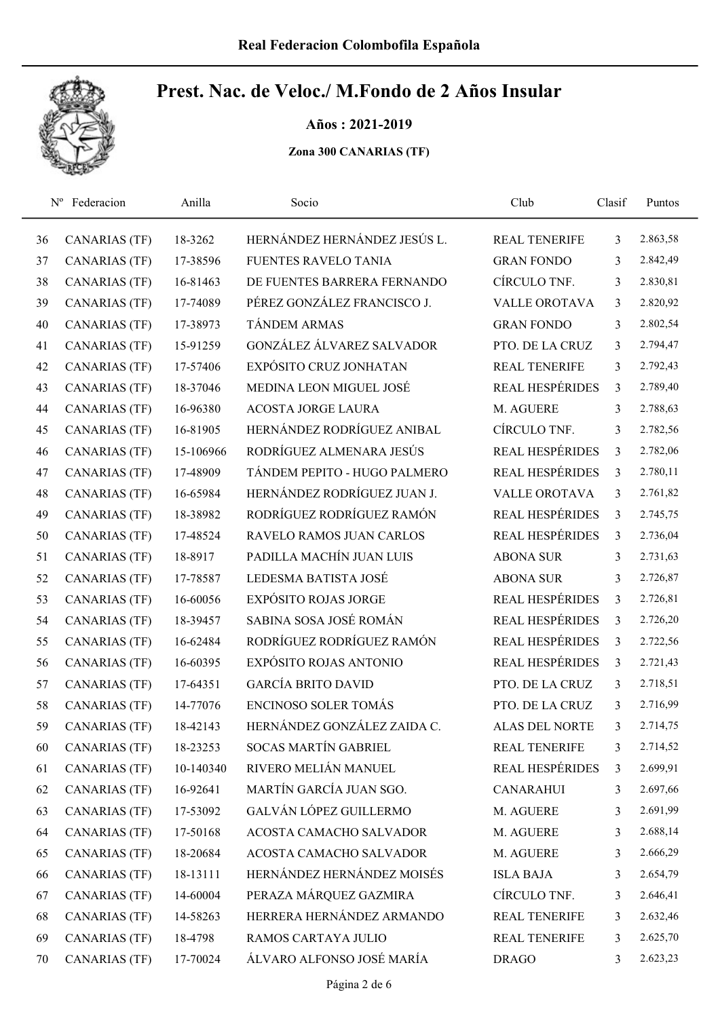Años : 2021-2019

|    | Nº Federacion        | Anilla    | Socio                        | Club                   | Clasif         | Puntos   |
|----|----------------------|-----------|------------------------------|------------------------|----------------|----------|
| 36 | <b>CANARIAS (TF)</b> | 18-3262   | HERNÁNDEZ HERNÁNDEZ JESÚS L. | <b>REAL TENERIFE</b>   | $\overline{3}$ | 2.863,58 |
| 37 | <b>CANARIAS (TF)</b> | 17-38596  | <b>FUENTES RAVELO TANIA</b>  | <b>GRAN FONDO</b>      | 3              | 2.842,49 |
| 38 | <b>CANARIAS (TF)</b> | 16-81463  | DE FUENTES BARRERA FERNANDO  | CÍRCULO TNF.           | 3              | 2.830,81 |
| 39 | <b>CANARIAS (TF)</b> | 17-74089  | PÉREZ GONZÁLEZ FRANCISCO J.  | <b>VALLE OROTAVA</b>   | $\mathfrak{Z}$ | 2.820,92 |
| 40 | <b>CANARIAS (TF)</b> | 17-38973  | <b>TÁNDEM ARMAS</b>          | <b>GRAN FONDO</b>      | 3              | 2.802,54 |
| 41 | <b>CANARIAS (TF)</b> | 15-91259  | GONZÁLEZ ÁLVAREZ SALVADOR    | PTO. DE LA CRUZ        | 3              | 2.794,47 |
| 42 | <b>CANARIAS (TF)</b> | 17-57406  | EXPÓSITO CRUZ JONHATAN       | <b>REAL TENERIFE</b>   | 3              | 2.792,43 |
| 43 | <b>CANARIAS (TF)</b> | 18-37046  | MEDINA LEON MIGUEL JOSÉ      | <b>REAL HESPÉRIDES</b> | $\mathfrak{Z}$ | 2.789,40 |
| 44 | <b>CANARIAS (TF)</b> | 16-96380  | <b>ACOSTA JORGE LAURA</b>    | M. AGUERE              | 3              | 2.788,63 |
| 45 | <b>CANARIAS (TF)</b> | 16-81905  | HERNÁNDEZ RODRÍGUEZ ANIBAL   | CÍRCULO TNF.           | 3              | 2.782,56 |
| 46 | <b>CANARIAS (TF)</b> | 15-106966 | RODRÍGUEZ ALMENARA JESÚS     | <b>REAL HESPÉRIDES</b> | $\mathfrak{Z}$ | 2.782,06 |
| 47 | <b>CANARIAS (TF)</b> | 17-48909  | TÁNDEM PEPITO - HUGO PALMERO | <b>REAL HESPÉRIDES</b> | $\mathfrak{Z}$ | 2.780,11 |
| 48 | <b>CANARIAS (TF)</b> | 16-65984  | HERNÁNDEZ RODRÍGUEZ JUAN J.  | <b>VALLE OROTAVA</b>   | $\mathfrak{Z}$ | 2.761,82 |
| 49 | <b>CANARIAS (TF)</b> | 18-38982  | RODRÍGUEZ RODRÍGUEZ RAMÓN    | <b>REAL HESPÉRIDES</b> | $\mathfrak{Z}$ | 2.745,75 |
| 50 | <b>CANARIAS (TF)</b> | 17-48524  | RAVELO RAMOS JUAN CARLOS     | REAL HESPÉRIDES        | $\mathfrak{Z}$ | 2.736,04 |
| 51 | <b>CANARIAS (TF)</b> | 18-8917   | PADILLA MACHÍN JUAN LUIS     | <b>ABONA SUR</b>       | 3              | 2.731,63 |
| 52 | <b>CANARIAS (TF)</b> | 17-78587  | LEDESMA BATISTA JOSÉ         | <b>ABONA SUR</b>       | $\mathfrak{Z}$ | 2.726,87 |
| 53 | <b>CANARIAS (TF)</b> | 16-60056  | <b>EXPÓSITO ROJAS JORGE</b>  | <b>REAL HESPÉRIDES</b> | $\overline{3}$ | 2.726,81 |
| 54 | <b>CANARIAS (TF)</b> | 18-39457  | SABINA SOSA JOSÉ ROMÁN       | <b>REAL HESPÉRIDES</b> | $\mathfrak{Z}$ | 2.726,20 |
| 55 | <b>CANARIAS (TF)</b> | 16-62484  | RODRÍGUEZ RODRÍGUEZ RAMÓN    | <b>REAL HESPÉRIDES</b> | $\mathfrak{Z}$ | 2.722,56 |
| 56 | <b>CANARIAS (TF)</b> | 16-60395  | EXPÓSITO ROJAS ANTONIO       | <b>REAL HESPÉRIDES</b> | $\mathfrak{Z}$ | 2.721,43 |
| 57 | <b>CANARIAS (TF)</b> | 17-64351  | <b>GARCÍA BRITO DAVID</b>    | PTO. DE LA CRUZ        | 3              | 2.718,51 |
| 58 | <b>CANARIAS (TF)</b> | 14-77076  | ENCINOSO SOLER TOMÁS         | PTO. DE LA CRUZ        | 3              | 2.716,99 |
| 59 | <b>CANARIAS</b> (TF) | 18-42143  | HERNÁNDEZ GONZÁLEZ ZAIDA C.  | <b>ALAS DEL NORTE</b>  | 3              | 2.714,75 |
| 60 | <b>CANARIAS</b> (TF) | 18-23253  | <b>SOCAS MARTÍN GABRIEL</b>  | <b>REAL TENERIFE</b>   | 3              | 2.714,52 |
| 61 | <b>CANARIAS (TF)</b> | 10-140340 | RIVERO MELIÁN MANUEL         | <b>REAL HESPÉRIDES</b> | $\mathfrak{Z}$ | 2.699,91 |
| 62 | <b>CANARIAS (TF)</b> | 16-92641  | MARTÍN GARCÍA JUAN SGO.      | <b>CANARAHUI</b>       | $\mathfrak{Z}$ | 2.697,66 |
| 63 | <b>CANARIAS (TF)</b> | 17-53092  | GALVÁN LÓPEZ GUILLERMO       | M. AGUERE              | 3              | 2.691,99 |
| 64 | <b>CANARIAS (TF)</b> | 17-50168  | ACOSTA CAMACHO SALVADOR      | M. AGUERE              | 3              | 2.688,14 |
| 65 | <b>CANARIAS (TF)</b> | 18-20684  | ACOSTA CAMACHO SALVADOR      | M. AGUERE              | 3              | 2.666,29 |
| 66 | <b>CANARIAS (TF)</b> | 18-13111  | HERNÁNDEZ HERNÁNDEZ MOISÉS   | <b>ISLA BAJA</b>       | 3              | 2.654,79 |
| 67 | <b>CANARIAS (TF)</b> | 14-60004  | PERAZA MÁRQUEZ GAZMIRA       | CÍRCULO TNF.           | 3              | 2.646,41 |
| 68 | <b>CANARIAS (TF)</b> | 14-58263  | HERRERA HERNÁNDEZ ARMANDO    | REAL TENERIFE          | 3              | 2.632,46 |
| 69 | <b>CANARIAS (TF)</b> | 18-4798   | RAMOS CARTAYA JULIO          | <b>REAL TENERIFE</b>   | 3              | 2.625,70 |
| 70 | <b>CANARIAS (TF)</b> | 17-70024  | ÁLVARO ALFONSO JOSÉ MARÍA    | <b>DRAGO</b>           | 3              | 2.623,23 |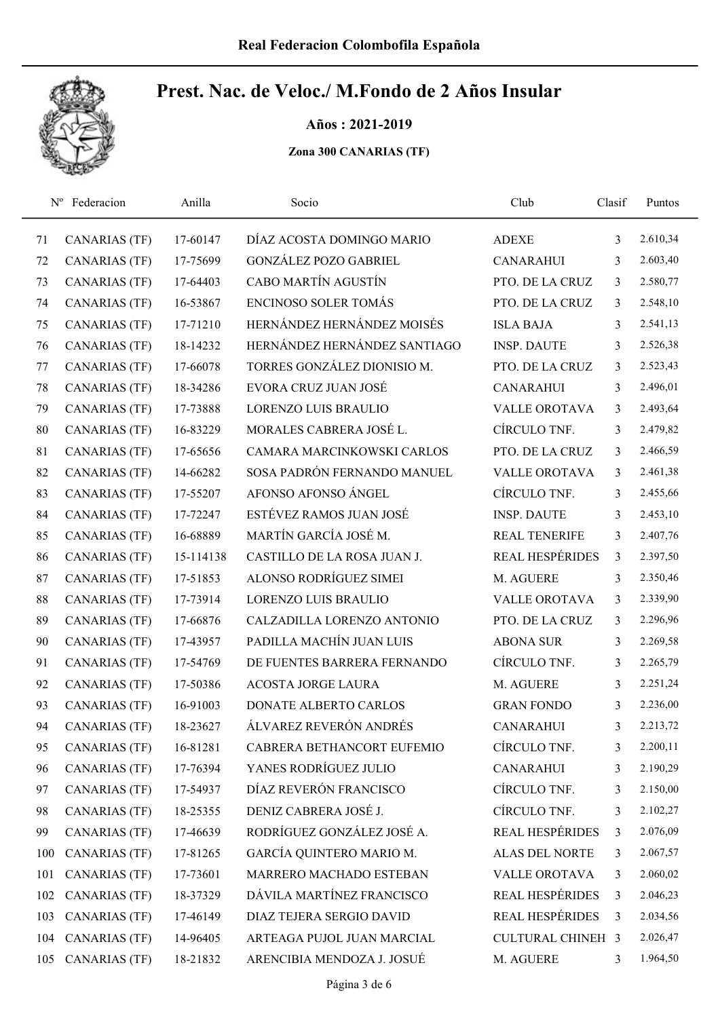Años : 2021-2019

| $N^{\rm o}$ | Federacion           | Anilla    | Socio                        | Club                     | Clasif         | Puntos   |  |
|-------------|----------------------|-----------|------------------------------|--------------------------|----------------|----------|--|
| 71          | <b>CANARIAS (TF)</b> | 17-60147  | DÍAZ ACOSTA DOMINGO MARIO    | <b>ADEXE</b>             | 3              | 2.610,34 |  |
| 72          | <b>CANARIAS (TF)</b> | 17-75699  | <b>GONZÁLEZ POZO GABRIEL</b> | <b>CANARAHUI</b>         | 3              | 2.603,40 |  |
| 73          | <b>CANARIAS (TF)</b> | 17-64403  | CABO MARTÍN AGUSTÍN          | PTO. DE LA CRUZ          | $\mathfrak{Z}$ | 2.580,77 |  |
| 74          | <b>CANARIAS (TF)</b> | 16-53867  | <b>ENCINOSO SOLER TOMÁS</b>  | PTO. DE LA CRUZ          | $\mathfrak{Z}$ | 2.548,10 |  |
| 75          | <b>CANARIAS (TF)</b> | 17-71210  | HERNÁNDEZ HERNÁNDEZ MOISÉS   | <b>ISLA BAJA</b>         | 3              | 2.541,13 |  |
| 76          | <b>CANARIAS (TF)</b> | 18-14232  | HERNÁNDEZ HERNÁNDEZ SANTIAGO | <b>INSP. DAUTE</b>       | 3              | 2.526,38 |  |
| 77          | <b>CANARIAS (TF)</b> | 17-66078  | TORRES GONZÁLEZ DIONISIO M.  | PTO. DE LA CRUZ          | 3              | 2.523,43 |  |
| 78          | <b>CANARIAS (TF)</b> | 18-34286  | EVORA CRUZ JUAN JOSÉ         | <b>CANARAHUI</b>         | 3              | 2.496,01 |  |
| 79          | <b>CANARIAS (TF)</b> | 17-73888  | LORENZO LUIS BRAULIO         | <b>VALLE OROTAVA</b>     | 3              | 2.493,64 |  |
| 80          | <b>CANARIAS (TF)</b> | 16-83229  | MORALES CABRERA JOSÉ L.      | CÍRCULO TNF.             | 3              | 2.479,82 |  |
| 81          | <b>CANARIAS (TF)</b> | 17-65656  | CAMARA MARCINKOWSKI CARLOS   | PTO. DE LA CRUZ          | 3              | 2.466,59 |  |
| 82          | <b>CANARIAS (TF)</b> | 14-66282  | SOSA PADRÓN FERNANDO MANUEL  | <b>VALLE OROTAVA</b>     | 3              | 2.461,38 |  |
| 83          | <b>CANARIAS (TF)</b> | 17-55207  | AFONSO AFONSO ÁNGEL          | CÍRCULO TNF.             | 3              | 2.455,66 |  |
| 84          | <b>CANARIAS (TF)</b> | 17-72247  | ESTÉVEZ RAMOS JUAN JOSÉ      | <b>INSP. DAUTE</b>       | 3              | 2.453,10 |  |
| 85          | <b>CANARIAS (TF)</b> | 16-68889  | MARTÍN GARCÍA JOSÉ M.        | REAL TENERIFE            | 3              | 2.407,76 |  |
| 86          | <b>CANARIAS (TF)</b> | 15-114138 | CASTILLO DE LA ROSA JUAN J.  | REAL HESPÉRIDES          | $\mathfrak{Z}$ | 2.397,50 |  |
| 87          | <b>CANARIAS (TF)</b> | 17-51853  | ALONSO RODRÍGUEZ SIMEI       | M. AGUERE                | 3              | 2.350,46 |  |
| 88          | <b>CANARIAS (TF)</b> | 17-73914  | <b>LORENZO LUIS BRAULIO</b>  | <b>VALLE OROTAVA</b>     | 3              | 2.339,90 |  |
| 89          | <b>CANARIAS (TF)</b> | 17-66876  | CALZADILLA LORENZO ANTONIO   | PTO. DE LA CRUZ          | 3              | 2.296,96 |  |
| 90          | <b>CANARIAS (TF)</b> | 17-43957  | PADILLA MACHÍN JUAN LUIS     | <b>ABONA SUR</b>         | 3              | 2.269,58 |  |
| 91          | <b>CANARIAS (TF)</b> | 17-54769  | DE FUENTES BARRERA FERNANDO  | CÍRCULO TNF.             | 3              | 2.265,79 |  |
| 92          | <b>CANARIAS (TF)</b> | 17-50386  | <b>ACOSTA JORGE LAURA</b>    | M. AGUERE                | 3              | 2.251,24 |  |
| 93          | <b>CANARIAS (TF)</b> | 16-91003  | DONATE ALBERTO CARLOS        | <b>GRAN FONDO</b>        | 3              | 2.236,00 |  |
| 94          | <b>CANARIAS (TF)</b> | 18-23627  | ÁLVAREZ REVERÓN ANDRÉS       | <b>CANARAHUI</b>         | 3              | 2.213,72 |  |
| 95          | <b>CANARIAS (TF)</b> | 16-81281  | CABRERA BETHANCORT EUFEMIO   | CÍRCULO TNF.             | 3              | 2.200,11 |  |
| 96          | <b>CANARIAS (TF)</b> | 17-76394  | YANES RODRÍGUEZ JULIO        | <b>CANARAHUI</b>         | 3              | 2.190,29 |  |
| 97          | <b>CANARIAS (TF)</b> | 17-54937  | DÍAZ REVERÓN FRANCISCO       | CÍRCULO TNF.             | 3              | 2.150,00 |  |
| 98          | <b>CANARIAS (TF)</b> | 18-25355  | DENIZ CABRERA JOSÉ J.        | CÍRCULO TNF.             | 3              | 2.102,27 |  |
| 99          | <b>CANARIAS (TF)</b> | 17-46639  | RODRÍGUEZ GONZÁLEZ JOSÉ A.   | <b>REAL HESPÉRIDES</b>   | 3              | 2.076,09 |  |
| 100         | <b>CANARIAS (TF)</b> | 17-81265  | GARCÍA QUINTERO MARIO M.     | <b>ALAS DEL NORTE</b>    | 3              | 2.067,57 |  |
| 101         | <b>CANARIAS (TF)</b> | 17-73601  | MARRERO MACHADO ESTEBAN      | VALLE OROTAVA            | 3              | 2.060,02 |  |
| 102         | <b>CANARIAS (TF)</b> | 18-37329  | DÁVILA MARTÍNEZ FRANCISCO    | REAL HESPÉRIDES          | 3              | 2.046,23 |  |
| 103         | <b>CANARIAS (TF)</b> | 17-46149  | DIAZ TEJERA SERGIO DAVID     | REAL HESPÉRIDES          | 3              | 2.034,56 |  |
| 104         | <b>CANARIAS (TF)</b> | 14-96405  | ARTEAGA PUJOL JUAN MARCIAL   | <b>CULTURAL CHINEH 3</b> |                | 2.026,47 |  |
| 105         | <b>CANARIAS</b> (TF) | 18-21832  | ARENCIBIA MENDOZA J. JOSUÉ   | M. AGUERE                | 3              | 1.964,50 |  |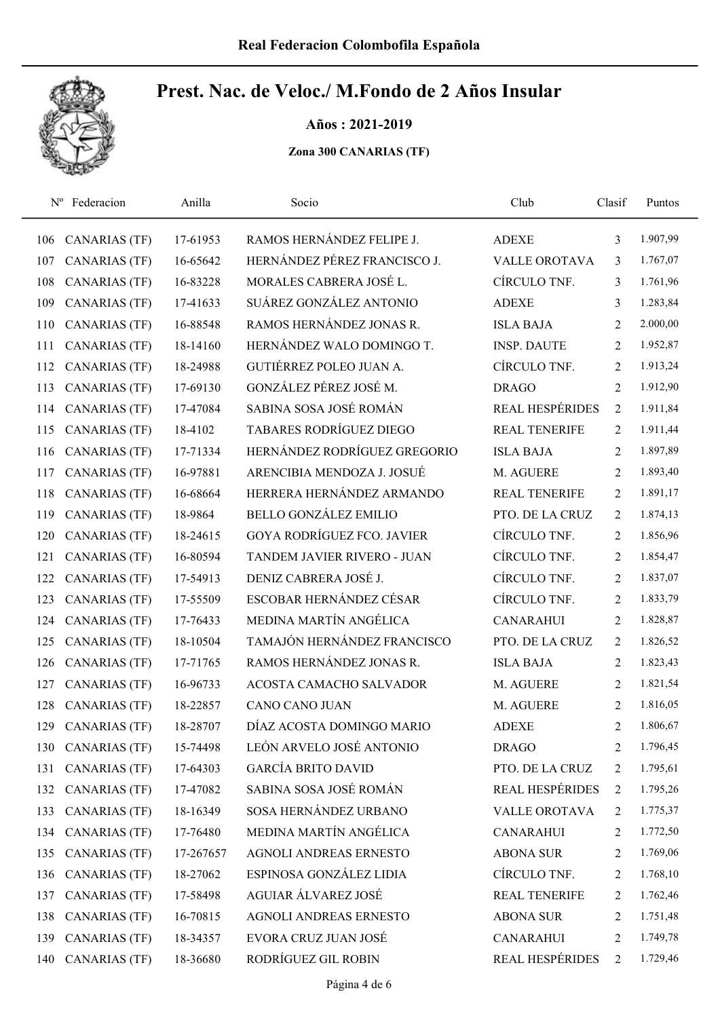Años : 2021-2019

|     | Nº Federacion        | Anilla    | Socio                             | Club                   | Clasif         | Puntos   |
|-----|----------------------|-----------|-----------------------------------|------------------------|----------------|----------|
| 106 | <b>CANARIAS (TF)</b> | 17-61953  | RAMOS HERNÁNDEZ FELIPE J.         | <b>ADEXE</b>           | 3              | 1.907,99 |
| 107 | <b>CANARIAS (TF)</b> | 16-65642  | HERNÁNDEZ PÉREZ FRANCISCO J.      | <b>VALLE OROTAVA</b>   | 3              | 1.767,07 |
| 108 | <b>CANARIAS (TF)</b> | 16-83228  | MORALES CABRERA JOSÉ L.           | CÍRCULO TNF.           | 3              | 1.761,96 |
| 109 | <b>CANARIAS (TF)</b> | 17-41633  | SUÁREZ GONZÁLEZ ANTONIO           | <b>ADEXE</b>           | 3              | 1.283,84 |
| 110 | <b>CANARIAS (TF)</b> | 16-88548  | RAMOS HERNÁNDEZ JONAS R.          | <b>ISLA BAJA</b>       | $\overline{2}$ | 2.000,00 |
| 111 | <b>CANARIAS (TF)</b> | 18-14160  | HERNÁNDEZ WALO DOMINGO T.         | <b>INSP. DAUTE</b>     | $\overline{2}$ | 1.952,87 |
| 112 | <b>CANARIAS (TF)</b> | 18-24988  | GUTIÉRREZ POLEO JUAN A.           | CÍRCULO TNF.           | 2              | 1.913,24 |
| 113 | <b>CANARIAS (TF)</b> | 17-69130  | GONZÁLEZ PÉREZ JOSÉ M.            | <b>DRAGO</b>           | $\overline{2}$ | 1.912,90 |
| 114 | <b>CANARIAS (TF)</b> | 17-47084  | SABINA SOSA JOSÉ ROMÁN            | <b>REAL HESPÉRIDES</b> | $\overline{2}$ | 1.911,84 |
| 115 | <b>CANARIAS (TF)</b> | 18-4102   | <b>TABARES RODRÍGUEZ DIEGO</b>    | <b>REAL TENERIFE</b>   | 2              | 1.911,44 |
| 116 | CANARIAS (TF)        | 17-71334  | HERNÁNDEZ RODRÍGUEZ GREGORIO      | <b>ISLA BAJA</b>       | 2              | 1.897,89 |
| 117 | <b>CANARIAS (TF)</b> | 16-97881  | ARENCIBIA MENDOZA J. JOSUÉ        | M. AGUERE              | $\overline{2}$ | 1.893,40 |
| 118 | <b>CANARIAS (TF)</b> | 16-68664  | HERRERA HERNÁNDEZ ARMANDO         | <b>REAL TENERIFE</b>   | 2              | 1.891,17 |
| 119 | <b>CANARIAS (TF)</b> | 18-9864   | <b>BELLO GONZÁLEZ EMILIO</b>      | PTO. DE LA CRUZ        | 2              | 1.874,13 |
| 120 | <b>CANARIAS (TF)</b> | 18-24615  | <b>GOYA RODRÍGUEZ FCO. JAVIER</b> | CÍRCULO TNF.           | 2              | 1.856,96 |
| 121 | <b>CANARIAS (TF)</b> | 16-80594  | TANDEM JAVIER RIVERO - JUAN       | CÍRCULO TNF.           | 2              | 1.854,47 |
| 122 | CANARIAS (TF)        | 17-54913  | DENIZ CABRERA JOSÉ J.             | CÍRCULO TNF.           | $\overline{2}$ | 1.837,07 |
| 123 | <b>CANARIAS (TF)</b> | 17-55509  | ESCOBAR HERNÁNDEZ CÉSAR           | CÍRCULO TNF.           | $\overline{2}$ | 1.833,79 |
| 124 | <b>CANARIAS (TF)</b> | 17-76433  | MEDINA MARTÍN ANGÉLICA            | <b>CANARAHUI</b>       | $\overline{2}$ | 1.828,87 |
| 125 | <b>CANARIAS (TF)</b> | 18-10504  | TAMAJÓN HERNÁNDEZ FRANCISCO       | PTO. DE LA CRUZ        | 2              | 1.826,52 |
| 126 | CANARIAS (TF)        | 17-71765  | RAMOS HERNÁNDEZ JONAS R.          | <b>ISLA BAJA</b>       | 2              | 1.823,43 |
| 127 | <b>CANARIAS (TF)</b> | 16-96733  | ACOSTA CAMACHO SALVADOR           | M. AGUERE              | 2              | 1.821,54 |
| 128 | <b>CANARIAS (TF)</b> | 18-22857  | <b>CANO CANO JUAN</b>             | M. AGUERE              | 2              | 1.816,05 |
| 129 | <b>CANARIAS</b> (TF) | 18-28707  | DÍAZ ACOSTA DOMINGO MARIO         | <b>ADEXE</b>           | $\overline{2}$ | 1.806,67 |
| 130 | CANARIAS (TF)        | 15-74498  | LEÓN ARVELO JOSÉ ANTONIO          | <b>DRAGO</b>           | 2              | 1.796,45 |
| 131 | <b>CANARIAS (TF)</b> | 17-64303  | <b>GARCÍA BRITO DAVID</b>         | PTO. DE LA CRUZ        | $\overline{c}$ | 1.795,61 |
| 132 | <b>CANARIAS (TF)</b> | 17-47082  | SABINA SOSA JOSÉ ROMÁN            | REAL HESPÉRIDES        | $\overline{2}$ | 1.795,26 |
| 133 | <b>CANARIAS (TF)</b> | 18-16349  | SOSA HERNÁNDEZ URBANO             | VALLE OROTAVA          | 2              | 1.775,37 |
| 134 | <b>CANARIAS (TF)</b> | 17-76480  | MEDINA MARTÍN ANGÉLICA            | <b>CANARAHUI</b>       | $\overline{2}$ | 1.772,50 |
| 135 | CANARIAS (TF)        | 17-267657 | AGNOLI ANDREAS ERNESTO            | <b>ABONA SUR</b>       | $\overline{2}$ | 1.769,06 |
| 136 | <b>CANARIAS (TF)</b> | 18-27062  | ESPINOSA GONZÁLEZ LIDIA           | CÍRCULO TNF.           | $\overline{2}$ | 1.768,10 |
| 137 | <b>CANARIAS (TF)</b> | 17-58498  | AGUIAR ÁLVAREZ JOSÉ               | <b>REAL TENERIFE</b>   | 2              | 1.762,46 |
| 138 | <b>CANARIAS (TF)</b> | 16-70815  | AGNOLI ANDREAS ERNESTO            | <b>ABONA SUR</b>       | 2              | 1.751,48 |
| 139 | <b>CANARIAS (TF)</b> | 18-34357  | EVORA CRUZ JUAN JOSÉ              | <b>CANARAHUI</b>       | $\overline{2}$ | 1.749,78 |
| 140 | <b>CANARIAS (TF)</b> | 18-36680  | RODRÍGUEZ GIL ROBIN               | REAL HESPÉRIDES        | $\overline{2}$ | 1.729,46 |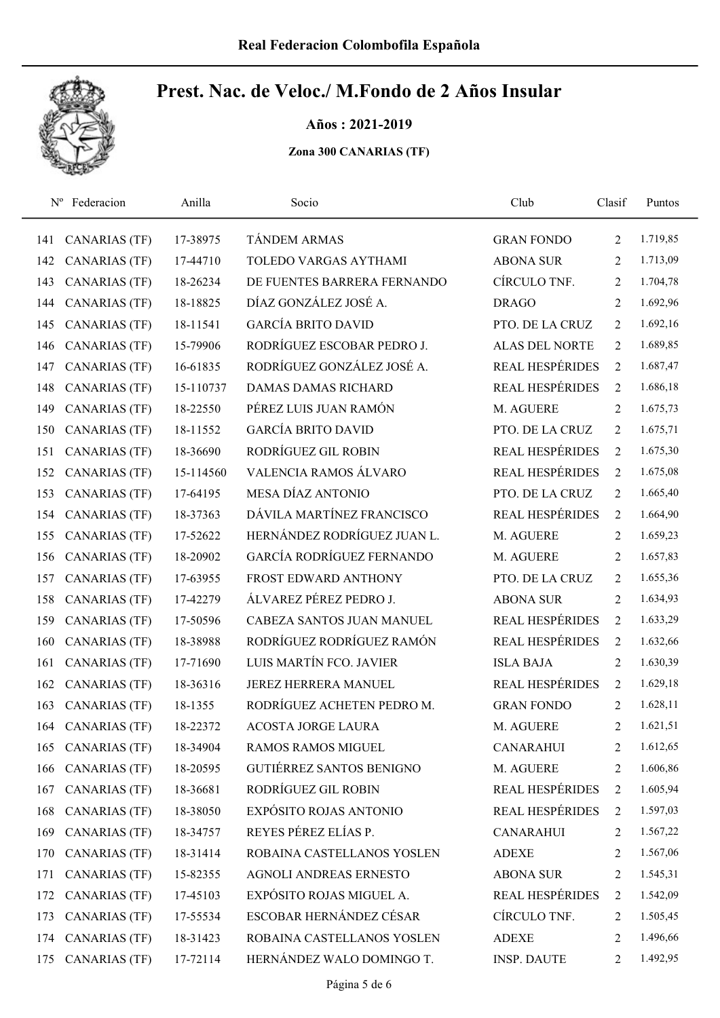Años : 2021-2019

| $N^{\rm o}$ | Federacion           | Anilla    | Socio                           | Club                   | Clasif         | Puntos   |
|-------------|----------------------|-----------|---------------------------------|------------------------|----------------|----------|
| 141         | <b>CANARIAS (TF)</b> | 17-38975  | <b>TÁNDEM ARMAS</b>             | <b>GRAN FONDO</b>      | 2              | 1.719,85 |
| 142         | <b>CANARIAS (TF)</b> | 17-44710  | TOLEDO VARGAS AYTHAMI           | <b>ABONA SUR</b>       | 2              | 1.713,09 |
| 143         | <b>CANARIAS (TF)</b> | 18-26234  | DE FUENTES BARRERA FERNANDO     | CÍRCULO TNF.           | $\overline{2}$ | 1.704,78 |
| 144         | <b>CANARIAS (TF)</b> | 18-18825  | DÍAZ GONZÁLEZ JOSÉ A.           | <b>DRAGO</b>           | 2              | 1.692,96 |
| 145         | <b>CANARIAS (TF)</b> | 18-11541  | <b>GARCÍA BRITO DAVID</b>       | PTO. DE LA CRUZ        | 2              | 1.692,16 |
| 146         | <b>CANARIAS (TF)</b> | 15-79906  | RODRÍGUEZ ESCOBAR PEDRO J.      | <b>ALAS DEL NORTE</b>  | 2              | 1.689,85 |
| 147         | <b>CANARIAS (TF)</b> | 16-61835  | RODRÍGUEZ GONZÁLEZ JOSÉ A.      | <b>REAL HESPÉRIDES</b> | 2              | 1.687,47 |
| 148         | <b>CANARIAS (TF)</b> | 15-110737 | <b>DAMAS DAMAS RICHARD</b>      | REAL HESPÉRIDES        | 2              | 1.686,18 |
| 149         | <b>CANARIAS (TF)</b> | 18-22550  | PÉREZ LUIS JUAN RAMÓN           | M. AGUERE              | 2              | 1.675,73 |
| 150         | <b>CANARIAS (TF)</b> | 18-11552  | <b>GARCÍA BRITO DAVID</b>       | PTO. DE LA CRUZ        | 2              | 1.675,71 |
| 151         | CANARIAS (TF)        | 18-36690  | RODRÍGUEZ GIL ROBIN             | <b>REAL HESPÉRIDES</b> | $\overline{2}$ | 1.675,30 |
| 152         | <b>CANARIAS (TF)</b> | 15-114560 | VALENCIA RAMOS ÁLVARO           | <b>REAL HESPÉRIDES</b> | $\overline{2}$ | 1.675,08 |
| 153         | CANARIAS (TF)        | 17-64195  | MESA DÍAZ ANTONIO               | PTO. DE LA CRUZ        | 2              | 1.665,40 |
| 154         | <b>CANARIAS (TF)</b> | 18-37363  | DÁVILA MARTÍNEZ FRANCISCO       | REAL HESPÉRIDES        | $\overline{2}$ | 1.664,90 |
| 155         | <b>CANARIAS (TF)</b> | 17-52622  | HERNÁNDEZ RODRÍGUEZ JUAN L.     | M. AGUERE              | $\overline{2}$ | 1.659,23 |
| 156         | <b>CANARIAS (TF)</b> | 18-20902  | GARCÍA RODRÍGUEZ FERNANDO       | M. AGUERE              | $\overline{2}$ | 1.657,83 |
| 157         | <b>CANARIAS (TF)</b> | 17-63955  | FROST EDWARD ANTHONY            | PTO. DE LA CRUZ        | 2              | 1.655,36 |
| 158         | <b>CANARIAS (TF)</b> | 17-42279  | ÁLVAREZ PÉREZ PEDRO J.          | <b>ABONA SUR</b>       | $\overline{2}$ | 1.634,93 |
| 159         | <b>CANARIAS (TF)</b> | 17-50596  | CABEZA SANTOS JUAN MANUEL       | <b>REAL HESPÉRIDES</b> | 2              | 1.633,29 |
| 160         | <b>CANARIAS (TF)</b> | 18-38988  | RODRÍGUEZ RODRÍGUEZ RAMÓN       | <b>REAL HESPÉRIDES</b> | 2              | 1.632,66 |
| 161         | <b>CANARIAS (TF)</b> | 17-71690  | LUIS MARTÍN FCO. JAVIER         | <b>ISLA BAJA</b>       | $\overline{2}$ | 1.630,39 |
| 162         | <b>CANARIAS (TF)</b> | 18-36316  | <b>JEREZ HERRERA MANUEL</b>     | <b>REAL HESPÉRIDES</b> | 2              | 1.629,18 |
| 163         | <b>CANARIAS (TF)</b> | 18-1355   | RODRÍGUEZ ACHETEN PEDRO M.      | <b>GRAN FONDO</b>      | 2              | 1.628,11 |
| 164         | CANARIAS (TF)        | 18-22372  | <b>ACOSTA JORGE LAURA</b>       | M. AGUERE              | $\overline{2}$ | 1.621,51 |
| 165         | <b>CANARIAS (TF)</b> | 18-34904  | <b>RAMOS RAMOS MIGUEL</b>       | <b>CANARAHUI</b>       | 2              | 1.612,65 |
| 166         | <b>CANARIAS (TF)</b> | 18-20595  | <b>GUTIÉRREZ SANTOS BENIGNO</b> | M. AGUERE              | 2              | 1.606,86 |
| 167         | CANARIAS (TF)        | 18-36681  | RODRÍGUEZ GIL ROBIN             | <b>REAL HESPÉRIDES</b> | $\overline{2}$ | 1.605,94 |
| 168         | <b>CANARIAS (TF)</b> | 18-38050  | EXPÓSITO ROJAS ANTONIO          | REAL HESPÉRIDES        | 2              | 1.597,03 |
| 169         | <b>CANARIAS (TF)</b> | 18-34757  | REYES PÉREZ ELÍAS P.            | <b>CANARAHUI</b>       | 2              | 1.567,22 |
| 170         | <b>CANARIAS (TF)</b> | 18-31414  | ROBAINA CASTELLANOS YOSLEN      | <b>ADEXE</b>           | 2              | 1.567,06 |
| 171         | <b>CANARIAS (TF)</b> | 15-82355  | AGNOLI ANDREAS ERNESTO          | <b>ABONA SUR</b>       | 2              | 1.545,31 |
| 172         | <b>CANARIAS (TF)</b> | 17-45103  | EXPÓSITO ROJAS MIGUEL A.        | <b>REAL HESPÉRIDES</b> | 2              | 1.542,09 |
| 173         | <b>CANARIAS (TF)</b> | 17-55534  | ESCOBAR HERNÁNDEZ CÉSAR         | CÍRCULO TNF.           | 2              | 1.505,45 |
| 174         | CANARIAS (TF)        | 18-31423  | ROBAINA CASTELLANOS YOSLEN      | <b>ADEXE</b>           | 2              | 1.496,66 |
| 175         | <b>CANARIAS (TF)</b> | 17-72114  | HERNÁNDEZ WALO DOMINGO T.       | <b>INSP. DAUTE</b>     | 2              | 1.492,95 |